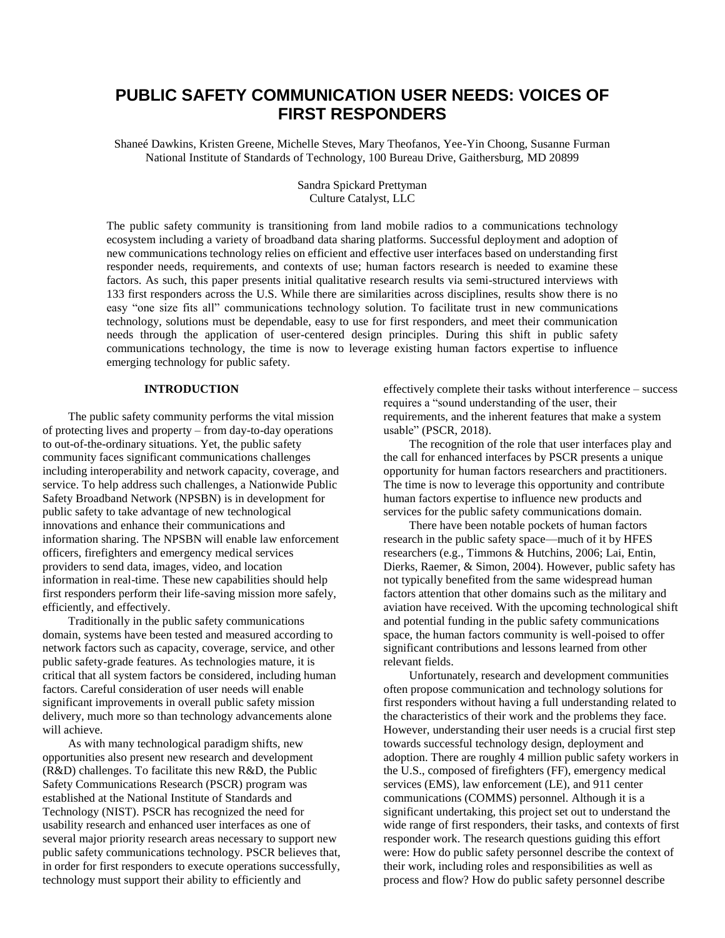# **PUBLIC SAFETY COMMUNICATION USER NEEDS: VOICES OF FIRST RESPONDERS**

Shaneé Dawkins, Kristen Greene, Michelle Steves, Mary Theofanos, Yee-Yin Choong, Susanne Furman National Institute of Standards of Technology, 100 Bureau Drive, Gaithersburg, MD 20899

> Sandra Spickard Prettyman Culture Catalyst, LLC

The public safety community is transitioning from land mobile radios to a communications technology ecosystem including a variety of broadband data sharing platforms. Successful deployment and adoption of new communications technology relies on efficient and effective user interfaces based on understanding first responder needs, requirements, and contexts of use; human factors research is needed to examine these factors. As such, this paper presents initial qualitative research results via semi-structured interviews with 133 first responders across the U.S. While there are similarities across disciplines, results show there is no easy "one size fits all" communications technology solution. To facilitate trust in new communications technology, solutions must be dependable, easy to use for first responders, and meet their communication needs through the application of user-centered design principles. During this shift in public safety communications technology, the time is now to leverage existing human factors expertise to influence emerging technology for public safety.

## **INTRODUCTION**

The public safety community performs the vital mission of protecting lives and property – from day-to-day operations to out-of-the-ordinary situations. Yet, the public safety community faces significant communications challenges including interoperability and network capacity, coverage, and service. To help address such challenges, a Nationwide Public Safety Broadband Network (NPSBN) is in development for public safety to take advantage of new technological innovations and enhance their communications and information sharing. The NPSBN will enable law enforcement officers, firefighters and emergency medical services providers to send data, images, video, and location information in real-time. These new capabilities should help first responders perform their life-saving mission more safely, efficiently, and effectively.

Traditionally in the public safety communications domain, systems have been tested and measured according to network factors such as capacity, coverage, service, and other public safety-grade features. As technologies mature, it is critical that all system factors be considered, including human factors. Careful consideration of user needs will enable significant improvements in overall public safety mission delivery, much more so than technology advancements alone will achieve.

As with many technological paradigm shifts, new opportunities also present new research and development (R&D) challenges. To facilitate this new R&D, the Public Safety Communications Research (PSCR) program was established at the National Institute of Standards and Technology (NIST). PSCR has recognized the need for usability research and enhanced user interfaces as one of several major priority research areas necessary to support new public safety communications technology. PSCR believes that, in order for first responders to execute operations successfully, technology must support their ability to efficiently and

effectively complete their tasks without interference – success requires a "sound understanding of the user, their requirements, and the inherent features that make a system usable" (PSCR, 2018).

The recognition of the role that user interfaces play and the call for enhanced interfaces by PSCR presents a unique opportunity for human factors researchers and practitioners. The time is now to leverage this opportunity and contribute human factors expertise to influence new products and services for the public safety communications domain.

There have been notable pockets of human factors research in the public safety space—much of it by HFES researchers (e.g., Timmons & Hutchins, 2006; Lai, Entin, Dierks, Raemer, & Simon, 2004). However, public safety has not typically benefited from the same widespread human factors attention that other domains such as the military and aviation have received. With the upcoming technological shift and potential funding in the public safety communications space, the human factors community is well-poised to offer significant contributions and lessons learned from other relevant fields.

Unfortunately, research and development communities often propose communication and technology solutions for first responders without having a full understanding related to the characteristics of their work and the problems they face. However, understanding their user needs is a crucial first step towards successful technology design, deployment and adoption. There are roughly 4 million public safety workers in the U.S., composed of firefighters (FF), emergency medical services (EMS), law enforcement (LE), and 911 center communications (COMMS) personnel. Although it is a significant undertaking, this project set out to understand the wide range of first responders, their tasks, and contexts of first responder work. The research questions guiding this effort were: How do public safety personnel describe the context of their work, including roles and responsibilities as well as process and flow? How do public safety personnel describe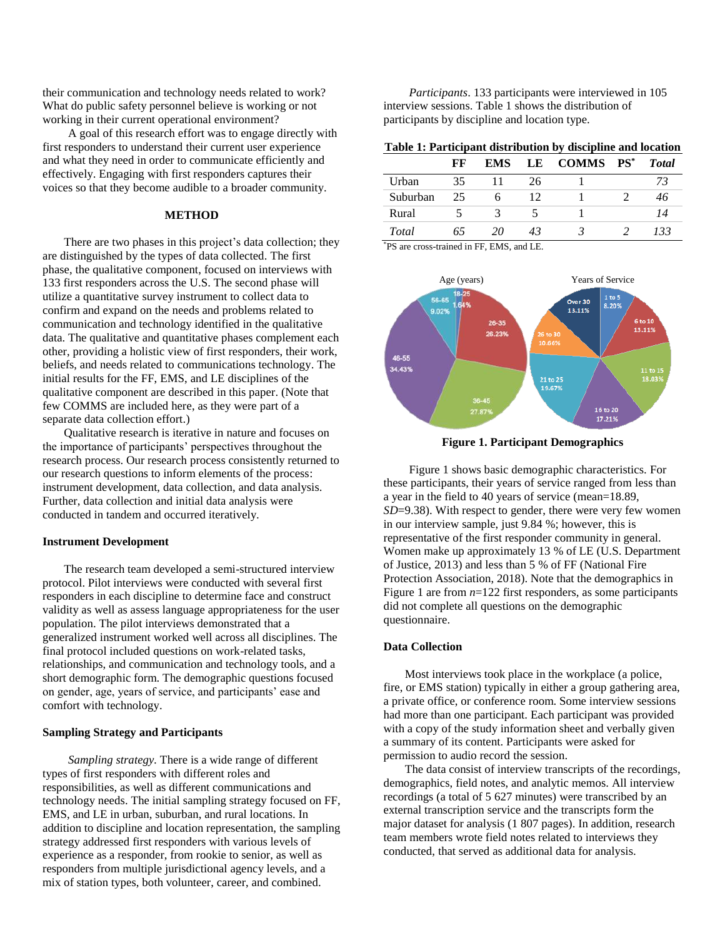their communication and technology needs related to work? What do public safety personnel believe is working or not working in their current operational environment?

A goal of this research effort was to engage directly with first responders to understand their current user experience and what they need in order to communicate efficiently and effectively. Engaging with first responders captures their voices so that they become audible to a broader community.

## **METHOD**

There are two phases in this project's data collection; they are distinguished by the types of data collected. The first phase, the qualitative component, focused on interviews with 133 first responders across the U.S. The second phase will utilize a quantitative survey instrument to collect data to confirm and expand on the needs and problems related to communication and technology identified in the qualitative data. The qualitative and quantitative phases complement each other, providing a holistic view of first responders, their work, beliefs, and needs related to communications technology. The initial results for the FF, EMS, and LE disciplines of the qualitative component are described in this paper. (Note that few COMMS are included here, as they were part of a separate data collection effort.)

Qualitative research is iterative in nature and focuses on the importance of participants' perspectives throughout the research process. Our research process consistently returned to our research questions to inform elements of the process: instrument development, data collection, and data analysis. Further, data collection and initial data analysis were conducted in tandem and occurred iteratively.

#### **Instrument Development**

The research team developed a semi-structured interview protocol. Pilot interviews were conducted with several first responders in each discipline to determine face and construct validity as well as assess language appropriateness for the user population. The pilot interviews demonstrated that a generalized instrument worked well across all disciplines. The final protocol included questions on work-related tasks, relationships, and communication and technology tools, and a short demographic form. The demographic questions focused on gender, age, years of service, and participants' ease and comfort with technology.

#### **Sampling Strategy and Participants**

*Sampling strategy.* There is a wide range of different types of first responders with different roles and responsibilities, as well as different communications and technology needs. The initial sampling strategy focused on FF, EMS, and LE in urban, suburban, and rural locations. In addition to discipline and location representation, the sampling strategy addressed first responders with various levels of experience as a responder, from rookie to senior, as well as responders from multiple jurisdictional agency levels, and a mix of station types, both volunteer, career, and combined.

*Participants*. 133 participants were interviewed in 105 interview sessions. Table 1 shows the distribution of participants by discipline and location type.

### **Table 1: Participant distribution by discipline and location**

|          | FF | <b>EMS</b> |    | LE COMMS PS* | <b>T</b> otal |
|----------|----|------------|----|--------------|---------------|
| Urban    | 35 |            | 26 |              | 73            |
| Suburban | 25 |            | 12 |              | 46            |
| Rural    |    |            |    |              | 14            |
| Total    | 65 | 20         | 43 |              | 133           |

\*PS are cross-trained in FF, EMS, and LE.



**Figure 1. Participant Demographics**

Figure 1 shows basic demographic characteristics. For these participants, their years of service ranged from less than a year in the field to 40 years of service (mean=18.89, *SD*=9.38). With respect to gender, there were very few women in our interview sample, just 9.84 %; however, this is representative of the first responder community in general. Women make up approximately 13 % of LE (U.S. Department of Justice, 2013) and less than 5 % of FF (National Fire Protection Association, 2018). Note that the demographics in Figure 1 are from *n*=122 first responders, as some participants did not complete all questions on the demographic questionnaire.

#### **Data Collection**

Most interviews took place in the workplace (a police, fire, or EMS station) typically in either a group gathering area, a private office, or conference room. Some interview sessions had more than one participant. Each participant was provided with a copy of the study information sheet and verbally given a summary of its content. Participants were asked for permission to audio record the session.

The data consist of interview transcripts of the recordings, demographics, field notes, and analytic memos. All interview recordings (a total of 5 627 minutes) were transcribed by an external transcription service and the transcripts form the major dataset for analysis (1 807 pages). In addition, research team members wrote field notes related to interviews they conducted, that served as additional data for analysis.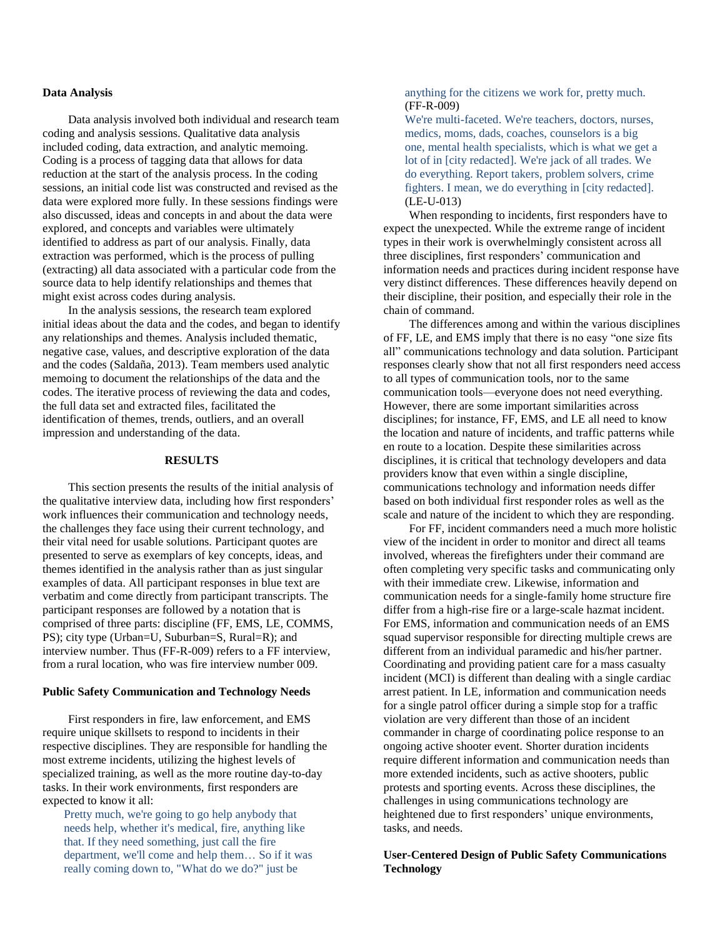#### **Data Analysis**

Data analysis involved both individual and research team coding and analysis sessions. Qualitative data analysis included coding, data extraction, and analytic memoing. Coding is a process of tagging data that allows for data reduction at the start of the analysis process. In the coding sessions, an initial code list was constructed and revised as the data were explored more fully. In these sessions findings were also discussed, ideas and concepts in and about the data were explored, and concepts and variables were ultimately identified to address as part of our analysis. Finally, data extraction was performed, which is the process of pulling (extracting) all data associated with a particular code from the source data to help identify relationships and themes that might exist across codes during analysis.

In the analysis sessions, the research team explored initial ideas about the data and the codes, and began to identify any relationships and themes. Analysis included thematic, negative case, values, and descriptive exploration of the data and the codes (Saldaña, 2013). Team members used analytic memoing to document the relationships of the data and the codes. The iterative process of reviewing the data and codes, the full data set and extracted files, facilitated the identification of themes, trends, outliers, and an overall impression and understanding of the data.

#### **RESULTS**

This section presents the results of the initial analysis of the qualitative interview data, including how first responders' work influences their communication and technology needs, the challenges they face using their current technology, and their vital need for usable solutions. Participant quotes are presented to serve as exemplars of key concepts, ideas, and themes identified in the analysis rather than as just singular examples of data. All participant responses in blue text are verbatim and come directly from participant transcripts. The participant responses are followed by a notation that is comprised of three parts: discipline (FF, EMS, LE, COMMS, PS); city type (Urban=U, Suburban=S, Rural=R); and interview number. Thus (FF-R-009) refers to a FF interview, from a rural location, who was fire interview number 009.

#### **Public Safety Communication and Technology Needs**

First responders in fire, law enforcement, and EMS require unique skillsets to respond to incidents in their respective disciplines. They are responsible for handling the most extreme incidents, utilizing the highest levels of specialized training, as well as the more routine day-to-day tasks. In their work environments, first responders are expected to know it all:

Pretty much, we're going to go help anybody that needs help, whether it's medical, fire, anything like that. If they need something, just call the fire department, we'll come and help them… So if it was really coming down to, "What do we do?" just be

anything for the citizens we work for, pretty much. (FF-R-009)

We're multi-faceted. We're teachers, doctors, nurses, medics, moms, dads, coaches, counselors is a big one, mental health specialists, which is what we get a lot of in [city redacted]. We're jack of all trades. We do everything. Report takers, problem solvers, crime fighters. I mean, we do everything in [city redacted]. (LE-U-013)

When responding to incidents, first responders have to expect the unexpected. While the extreme range of incident types in their work is overwhelmingly consistent across all three disciplines, first responders' communication and information needs and practices during incident response have very distinct differences. These differences heavily depend on their discipline, their position, and especially their role in the chain of command.

The differences among and within the various disciplines of FF, LE, and EMS imply that there is no easy "one size fits all" communications technology and data solution. Participant responses clearly show that not all first responders need access to all types of communication tools, nor to the same communication tools—everyone does not need everything. However, there are some important similarities across disciplines; for instance, FF, EMS, and LE all need to know the location and nature of incidents, and traffic patterns while en route to a location. Despite these similarities across disciplines, it is critical that technology developers and data providers know that even within a single discipline, communications technology and information needs differ based on both individual first responder roles as well as the scale and nature of the incident to which they are responding.

For FF, incident commanders need a much more holistic view of the incident in order to monitor and direct all teams involved, whereas the firefighters under their command are often completing very specific tasks and communicating only with their immediate crew. Likewise, information and communication needs for a single-family home structure fire differ from a high-rise fire or a large-scale hazmat incident. For EMS, information and communication needs of an EMS squad supervisor responsible for directing multiple crews are different from an individual paramedic and his/her partner. Coordinating and providing patient care for a mass casualty incident (MCI) is different than dealing with a single cardiac arrest patient. In LE, information and communication needs for a single patrol officer during a simple stop for a traffic violation are very different than those of an incident commander in charge of coordinating police response to an ongoing active shooter event. Shorter duration incidents require different information and communication needs than more extended incidents, such as active shooters, public protests and sporting events. Across these disciplines, the challenges in using communications technology are heightened due to first responders' unique environments, tasks, and needs.

# **User-Centered Design of Public Safety Communications Technology**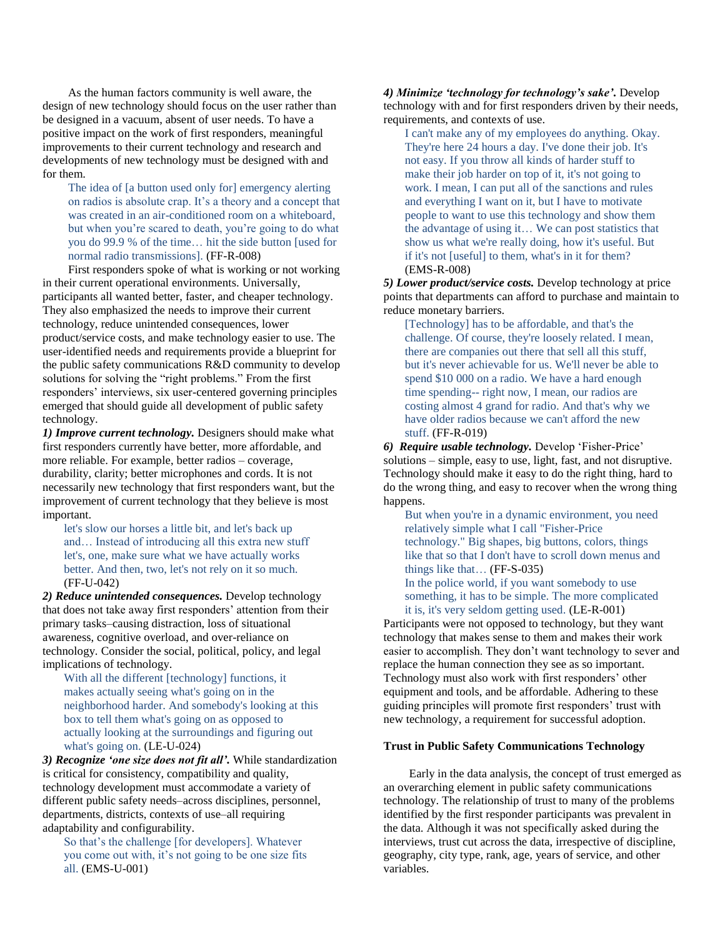As the human factors community is well aware, the design of new technology should focus on the user rather than be designed in a vacuum, absent of user needs. To have a positive impact on the work of first responders, meaningful improvements to their current technology and research and developments of new technology must be designed with and for them.

The idea of [a button used only for] emergency alerting on radios is absolute crap. It's a theory and a concept that was created in an air-conditioned room on a whiteboard, but when you're scared to death, you're going to do what you do 99.9 % of the time… hit the side button [used for normal radio transmissions]. (FF-R-008)

First responders spoke of what is working or not working in their current operational environments. Universally, participants all wanted better, faster, and cheaper technology. They also emphasized the needs to improve their current technology, reduce unintended consequences, lower product/service costs, and make technology easier to use. The user-identified needs and requirements provide a blueprint for the public safety communications R&D community to develop solutions for solving the "right problems." From the first responders' interviews, six user-centered governing principles emerged that should guide all development of public safety technology.

*1) Improve current technology.* Designers should make what first responders currently have better, more affordable, and more reliable. For example, better radios – coverage, durability, clarity; better microphones and cords. It is not necessarily new technology that first responders want, but the improvement of current technology that they believe is most important.

let's slow our horses a little bit, and let's back up and… Instead of introducing all this extra new stuff let's, one, make sure what we have actually works better. And then, two, let's not rely on it so much. (FF-U-042)

*2) Reduce unintended consequences.* Develop technology that does not take away first responders' attention from their primary tasks–causing distraction, loss of situational awareness, cognitive overload, and over-reliance on technology. Consider the social, political, policy, and legal implications of technology.

With all the different [technology] functions, it makes actually seeing what's going on in the neighborhood harder. And somebody's looking at this box to tell them what's going on as opposed to actually looking at the surroundings and figuring out what's going on. (LE-U-024)

*3) Recognize 'one size does not fit all'.* While standardization is critical for consistency, compatibility and quality, technology development must accommodate a variety of different public safety needs–across disciplines, personnel, departments, districts, contexts of use–all requiring adaptability and configurability.

So that's the challenge [for developers]. Whatever you come out with, it's not going to be one size fits all. (EMS-U-001)

*4) Minimize 'technology for technology's sake'.* Develop technology with and for first responders driven by their needs, requirements, and contexts of use.

I can't make any of my employees do anything. Okay. They're here 24 hours a day. I've done their job. It's not easy. If you throw all kinds of harder stuff to make their job harder on top of it, it's not going to work. I mean, I can put all of the sanctions and rules and everything I want on it, but I have to motivate people to want to use this technology and show them the advantage of using it… We can post statistics that show us what we're really doing, how it's useful. But if it's not [useful] to them, what's in it for them? (EMS-R-008)

*5) Lower product/service costs.* Develop technology at price points that departments can afford to purchase and maintain to reduce monetary barriers.

[Technology] has to be affordable, and that's the challenge. Of course, they're loosely related. I mean, there are companies out there that sell all this stuff, but it's never achievable for us. We'll never be able to spend \$10 000 on a radio. We have a hard enough time spending-- right now, I mean, our radios are costing almost 4 grand for radio. And that's why we have older radios because we can't afford the new stuff. (FF-R-019)

*6) Require usable technology.* Develop 'Fisher-Price' solutions – simple, easy to use, light, fast, and not disruptive. Technology should make it easy to do the right thing, hard to do the wrong thing, and easy to recover when the wrong thing happens.

But when you're in a dynamic environment, you need relatively simple what I call "Fisher-Price technology." Big shapes, big buttons, colors, things like that so that I don't have to scroll down menus and things like that… (FF-S-035) In the police world, if you want somebody to use

something, it has to be simple. The more complicated it is, it's very seldom getting used. (LE-R-001)

Participants were not opposed to technology, but they want technology that makes sense to them and makes their work easier to accomplish. They don't want technology to sever and replace the human connection they see as so important. Technology must also work with first responders' other equipment and tools, and be affordable. Adhering to these guiding principles will promote first responders' trust with new technology, a requirement for successful adoption.

## **Trust in Public Safety Communications Technology**

Early in the data analysis, the concept of trust emerged as an overarching element in public safety communications technology. The relationship of trust to many of the problems identified by the first responder participants was prevalent in the data. Although it was not specifically asked during the interviews, trust cut across the data, irrespective of discipline, geography, city type, rank, age, years of service, and other variables.